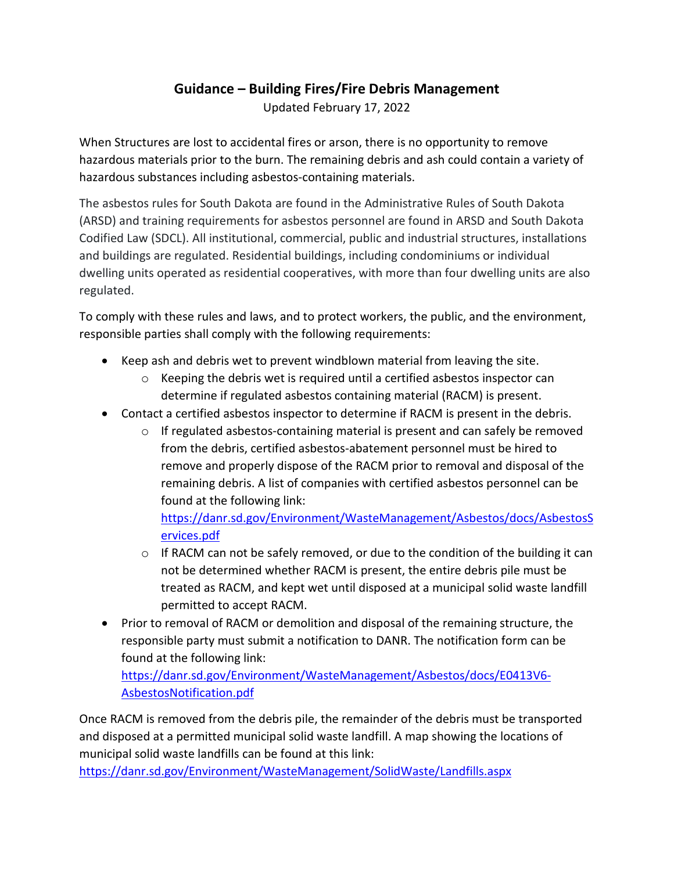## **Guidance – Building Fires/Fire Debris Management**

Updated February 17, 2022

When Structures are lost to accidental fires or arson, there is no opportunity to remove hazardous materials prior to the burn. The remaining debris and ash could contain a variety of hazardous substances including asbestos-containing materials.

The asbestos rules for South Dakota are found in the Administrative Rules of South Dakota (ARSD) and training requirements for asbestos personnel are found in ARSD and South Dakota Codified Law (SDCL). All institutional, commercial, public and industrial structures, installations and buildings are regulated. Residential buildings, including condominiums or individual dwelling units operated as residential cooperatives, with more than four dwelling units are also regulated.

To comply with these rules and laws, and to protect workers, the public, and the environment, responsible parties shall comply with the following requirements:

- Keep ash and debris wet to prevent windblown material from leaving the site.
	- $\circ$  Keeping the debris wet is required until a certified asbestos inspector can determine if regulated asbestos containing material (RACM) is present.
- Contact a certified asbestos inspector to determine if RACM is present in the debris.
	- $\circ$  If regulated asbestos-containing material is present and can safely be removed from the debris, certified asbestos-abatement personnel must be hired to remove and properly dispose of the RACM prior to removal and disposal of the remaining debris. A list of companies with certified asbestos personnel can be found at the following link:

[https://danr.sd.gov/Environment/WasteManagement/Asbestos/docs/AsbestosS](https://danr.sd.gov/Environment/WasteManagement/Asbestos/docs/AsbestosServices.pdf) [ervices.pdf](https://danr.sd.gov/Environment/WasteManagement/Asbestos/docs/AsbestosServices.pdf)

- $\circ$  If RACM can not be safely removed, or due to the condition of the building it can not be determined whether RACM is present, the entire debris pile must be treated as RACM, and kept wet until disposed at a municipal solid waste landfill permitted to accept RACM.
- Prior to removal of RACM or demolition and disposal of the remaining structure, the responsible party must submit a notification to DANR. The notification form can be found at the following link:

[https://danr.sd.gov/Environment/WasteManagement/Asbestos/docs/E0413V6-](https://danr.sd.gov/Environment/WasteManagement/Asbestos/docs/E0413V6-AsbestosNotification.pdf) [AsbestosNotification.pdf](https://danr.sd.gov/Environment/WasteManagement/Asbestos/docs/E0413V6-AsbestosNotification.pdf)

Once RACM is removed from the debris pile, the remainder of the debris must be transported and disposed at a permitted municipal solid waste landfill. A map showing the locations of municipal solid waste landfills can be found at this link:

<https://danr.sd.gov/Environment/WasteManagement/SolidWaste/Landfills.aspx>